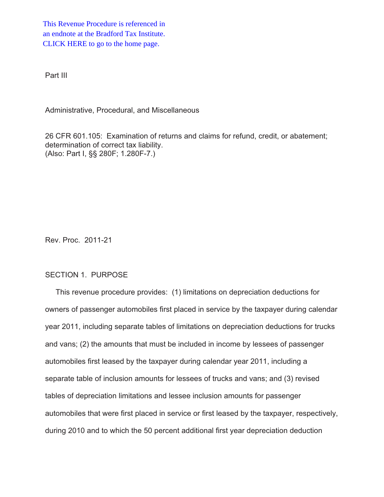This Revenue Procedure is referenced in [an endnote at the Bradford Tax Institute.](http://bradfordtaxinstitute.com/index1.aspx)  CLICK HERE to go to the home page.

Part III

Administrative, Procedural, and Miscellaneous

26 CFR 601.105: Examination of returns and claims for refund, credit, or abatement; determination of correct tax liability. (Also: Part I, §§ 280F; 1.280F-7.)

Rev. Proc. 2011-21

### SECTION 1. PURPOSE

This revenue procedure provides: (1) limitations on depreciation deductions for owners of passenger automobiles first placed in service by the taxpayer during calendar year 2011, including separate tables of limitations on depreciation deductions for trucks and vans; (2) the amounts that must be included in income by lessees of passenger automobiles first leased by the taxpayer during calendar year 2011, including a separate table of inclusion amounts for lessees of trucks and vans; and (3) revised tables of depreciation limitations and lessee inclusion amounts for passenger automobiles that were first placed in service or first leased by the taxpayer, respectively, during 2010 and to which the 50 percent additional first year depreciation deduction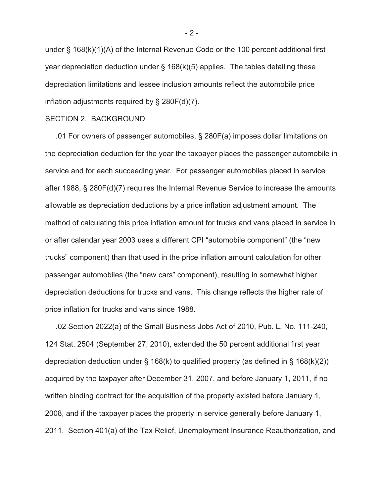under § 168(k)(1)(A) of the Internal Revenue Code or the 100 percent additional first year depreciation deduction under § 168(k)(5) applies. The tables detailing these depreciation limitations and lessee inclusion amounts reflect the automobile price inflation adjustments required by § 280F(d)(7).

### SECTION 2. BACKGROUND

 .01 For owners of passenger automobiles, § 280F(a) imposes dollar limitations on the depreciation deduction for the year the taxpayer places the passenger automobile in service and for each succeeding year. For passenger automobiles placed in service after 1988, § 280F(d)(7) requires the Internal Revenue Service to increase the amounts allowable as depreciation deductions by a price inflation adjustment amount. The method of calculating this price inflation amount for trucks and vans placed in service in or after calendar year 2003 uses a different CPI "automobile component" (the "new trucks" component) than that used in the price inflation amount calculation for other passenger automobiles (the "new cars" component), resulting in somewhat higher depreciation deductions for trucks and vans. This change reflects the higher rate of price inflation for trucks and vans since 1988.

 .02 Section 2022(a) of the Small Business Jobs Act of 2010, Pub. L. No. 111-240, 124 Stat. 2504 (September 27, 2010), extended the 50 percent additional first year depreciation deduction under § 168(k) to qualified property (as defined in § 168(k)(2)) acquired by the taxpayer after December 31, 2007, and before January 1, 2011, if no written binding contract for the acquisition of the property existed before January 1, 2008, and if the taxpayer places the property in service generally before January 1, 2011. Section 401(a) of the Tax Relief, Unemployment Insurance Reauthorization, and

- 2 -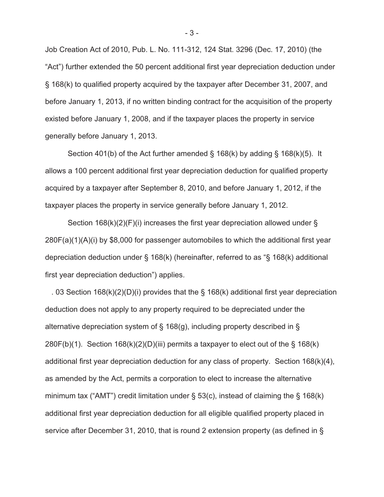Job Creation Act of 2010, Pub. L. No. 111-312, 124 Stat. 3296 (Dec. 17, 2010) (the "Act") further extended the 50 percent additional first year depreciation deduction under § 168(k) to qualified property acquired by the taxpayer after December 31, 2007, and before January 1, 2013, if no written binding contract for the acquisition of the property existed before January 1, 2008, and if the taxpayer places the property in service generally before January 1, 2013.

Section 401(b) of the Act further amended § 168(k) by adding § 168(k)(5). It allows a 100 percent additional first year depreciation deduction for qualified property acquired by a taxpayer after September 8, 2010, and before January 1, 2012, if the taxpayer places the property in service generally before January 1, 2012.

Section 168(k)(2)(F)(i) increases the first year depreciation allowed under §  $280F(a)(1)(A)(i)$  by \$8,000 for passenger automobiles to which the additional first year depreciation deduction under § 168(k) (hereinafter, referred to as "§ 168(k) additional first year depreciation deduction") applies.

 . 03 Section 168(k)(2)(D)(i) provides that the § 168(k) additional first year depreciation deduction does not apply to any property required to be depreciated under the alternative depreciation system of § 168(g), including property described in §  $280F(b)(1)$ . Section  $168(k)(2)(D)(iii)$  permits a taxpayer to elect out of the § 168(k) additional first year depreciation deduction for any class of property. Section 168(k)(4), as amended by the Act, permits a corporation to elect to increase the alternative minimum tax ("AMT") credit limitation under  $\S$  53(c), instead of claiming the  $\S$  168(k) additional first year depreciation deduction for all eligible qualified property placed in service after December 31, 2010, that is round 2 extension property (as defined in §

- 3 -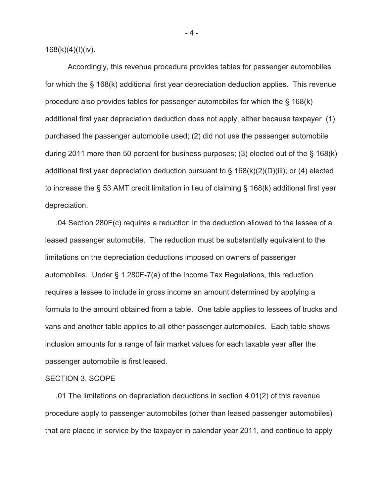$168(k)(4)(I)(iv)$ .

Accordingly, this revenue procedure provides tables for passenger automobiles for which the § 168(k) additional first year depreciation deduction applies. This revenue procedure also provides tables for passenger automobiles for which the § 168(k) additional first year depreciation deduction does not apply, either because taxpayer (1) purchased the passenger automobile used; (2) did not use the passenger automobile during 2011 more than 50 percent for business purposes; (3) elected out of the § 168(k) additional first year depreciation deduction pursuant to § 168(k)(2)(D)(iii); or (4) elected to increase the § 53 AMT credit limitation in lieu of claiming § 168(k) additional first year depreciation.

 .04 Section 280F(c) requires a reduction in the deduction allowed to the lessee of a leased passenger automobile. The reduction must be substantially equivalent to the limitations on the depreciation deductions imposed on owners of passenger automobiles. Under § 1.280F-7(a) of the Income Tax Regulations, this reduction requires a lessee to include in gross income an amount determined by applying a formula to the amount obtained from a table. One table applies to lessees of trucks and vans and another table applies to all other passenger automobiles. Each table shows inclusion amounts for a range of fair market values for each taxable year after the passenger automobile is first leased.

#### SECTION 3. SCOPE

 .01 The limitations on depreciation deductions in section 4.01(2) of this revenue procedure apply to passenger automobiles (other than leased passenger automobiles) that are placed in service by the taxpayer in calendar year 2011, and continue to apply

- 4 -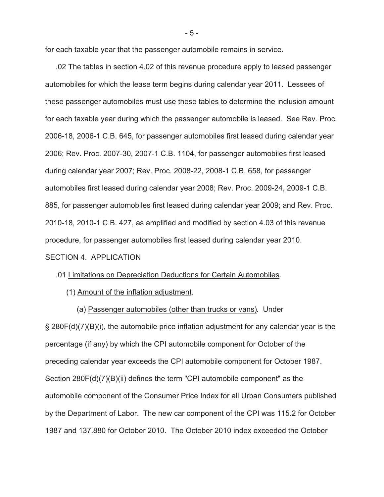for each taxable year that the passenger automobile remains in service.

 .02 The tables in section 4.02 of this revenue procedure apply to leased passenger automobiles for which the lease term begins during calendar year 2011. Lessees of these passenger automobiles must use these tables to determine the inclusion amount for each taxable year during which the passenger automobile is leased. See Rev. Proc. 2006-18, 2006-1 C.B. 645, for passenger automobiles first leased during calendar year 2006; Rev. Proc. 2007-30, 2007-1 C.B. 1104, for passenger automobiles first leased during calendar year 2007; Rev. Proc. 2008-22, 2008-1 C.B. 658, for passenger automobiles first leased during calendar year 2008; Rev. Proc. 2009-24, 2009-1 C.B. 885, for passenger automobiles first leased during calendar year 2009; and Rev. Proc. 2010-18, 2010-1 C.B. 427, as amplified and modified by section 4.03 of this revenue procedure, for passenger automobiles first leased during calendar year 2010. SECTION 4. APPLICATION

### .01 Limitations on Depreciation Deductions for Certain Automobiles.

(1) Amount of the inflation adjustment.

(a) Passenger automobiles (other than trucks or vans). Under

§ 280F(d)(7)(B)(i), the automobile price inflation adjustment for any calendar year is the percentage (if any) by which the CPI automobile component for October of the preceding calendar year exceeds the CPI automobile component for October 1987. Section 280F(d)(7)(B)(ii) defines the term "CPI automobile component" as the automobile component of the Consumer Price Index for all Urban Consumers published by the Department of Labor. The new car component of the CPI was 115.2 for October 1987 and 137.880 for October 2010. The October 2010 index exceeded the October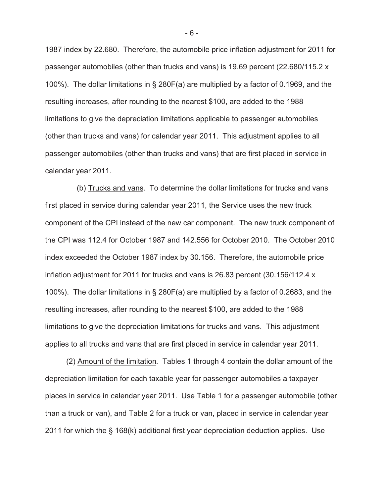1987 index by 22.680. Therefore, the automobile price inflation adjustment for 2011 for passenger automobiles (other than trucks and vans) is 19.69 percent (22.680/115.2 x 100%). The dollar limitations in § 280F(a) are multiplied by a factor of 0.1969, and the resulting increases, after rounding to the nearest \$100, are added to the 1988 limitations to give the depreciation limitations applicable to passenger automobiles (other than trucks and vans) for calendar year 2011. This adjustment applies to all passenger automobiles (other than trucks and vans) that are first placed in service in calendar year 2011.

 (b) Trucks and vans. To determine the dollar limitations for trucks and vans first placed in service during calendar year 2011, the Service uses the new truck component of the CPI instead of the new car component. The new truck component of the CPI was 112.4 for October 1987 and 142.556 for October 2010. The October 2010 index exceeded the October 1987 index by 30.156. Therefore, the automobile price inflation adjustment for 2011 for trucks and vans is 26.83 percent (30.156/112.4 x 100%). The dollar limitations in § 280F(a) are multiplied by a factor of 0.2683, and the resulting increases, after rounding to the nearest \$100, are added to the 1988 limitations to give the depreciation limitations for trucks and vans. This adjustment applies to all trucks and vans that are first placed in service in calendar year 2011.

 (2) Amount of the limitation. Tables 1 through 4 contain the dollar amount of the depreciation limitation for each taxable year for passenger automobiles a taxpayer places in service in calendar year 2011. Use Table 1 for a passenger automobile (other than a truck or van), and Table 2 for a truck or van, placed in service in calendar year 2011 for which the § 168(k) additional first year depreciation deduction applies. Use

- 6 -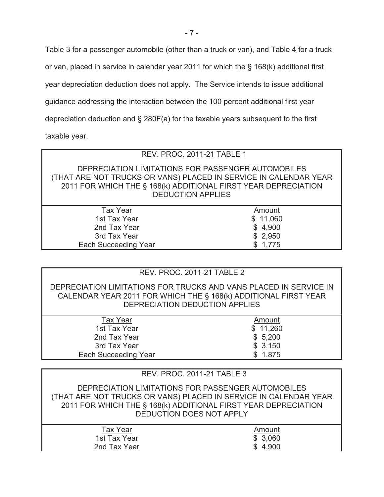Table 3 for a passenger automobile (other than a truck or van), and Table 4 for a truck

or van, placed in service in calendar year 2011 for which the § 168(k) additional first

year depreciation deduction does not apply. The Service intends to issue additional

guidance addressing the interaction between the 100 percent additional first year

depreciation deduction and § 280F(a) for the taxable years subsequent to the first

taxable year.

# REV. PROC. 2011-21 TABLE 1

DEPRECIATION LIMITATIONS FOR PASSENGER AUTOMOBILES (THAT ARE NOT TRUCKS OR VANS) PLACED IN SERVICE IN CALENDAR YEAR 2011 FOR WHICH THE § 168(k) ADDITIONAL FIRST YEAR DEPRECIATION DEDUCTION APPLIES

| <b>Tax Year</b>             | Amount   |
|-----------------------------|----------|
| 1st Tax Year                | \$11,060 |
| 2nd Tax Year                | \$4,900  |
| 3rd Tax Year                | \$2,950  |
| <b>Each Succeeding Year</b> | \$1.775  |

|                                                                                                                                                                        | REV. PROC. 2011-21 TABLE 2 |  |  |  |
|------------------------------------------------------------------------------------------------------------------------------------------------------------------------|----------------------------|--|--|--|
| DEPRECIATION LIMITATIONS FOR TRUCKS AND VANS PLACED IN SERVICE IN<br>CALENDAR YEAR 2011 FOR WHICH THE § 168(k) ADDITIONAL FIRST YEAR<br>DEPRECIATION DEDUCTION APPLIES |                            |  |  |  |
| <b>Tax Year</b>                                                                                                                                                        | Amount                     |  |  |  |
| 1st Tax Year                                                                                                                                                           | \$11,260                   |  |  |  |
| 2nd Tax Year                                                                                                                                                           | \$5,200                    |  |  |  |
| 3rd Tax Year                                                                                                                                                           | \$3,150                    |  |  |  |
| <b>Each Succeeding Year</b>                                                                                                                                            | \$1,875                    |  |  |  |

# REV. PROC. 2011-21 TABLE 3

DEPRECIATION LIMITATIONS FOR PASSENGER AUTOMOBILES (THAT ARE NOT TRUCKS OR VANS) PLACED IN SERVICE IN CALENDAR YEAR 2011 FOR WHICH THE § 168(k) ADDITIONAL FIRST YEAR DEPRECIATION DEDUCTION DOES NOT APPLY

| Tax Year     | Amount  |
|--------------|---------|
| 1st Tax Year | \$3,060 |
| 2nd Tax Year | \$4,900 |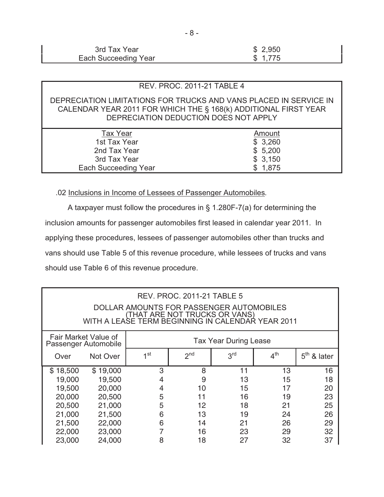| 3rd Tax Year         | \$2,950 |
|----------------------|---------|
| Each Succeeding Year | \$1.775 |

|                             | <b>REV. PROC. 2011-21 TABLE 4</b>                                 |
|-----------------------------|-------------------------------------------------------------------|
|                             |                                                                   |
|                             | DEPRECIATION LIMITATIONS FOR TRUCKS AND VANS PLACED IN SERVICE IN |
|                             | CALENDAR YEAR 2011 FOR WHICH THE § 168(k) ADDITIONAL FIRST YEAR   |
|                             |                                                                   |
|                             | DEPRECIATION DEDUCTION DOES NOT APPLY                             |
|                             |                                                                   |
| <b>Tax Year</b>             | Amount                                                            |
| 1st Tax Year                | \$3,260                                                           |
| 2nd Tax Year                | \$5,200                                                           |
| 3rd Tax Year                | \$3,150                                                           |
| <b>Each Succeeding Year</b> | \$1,875                                                           |

.02 Inclusions in Income of Lessees of Passenger Automobiles.

 A taxpayer must follow the procedures in § 1.280F-7(a) for determining the inclusion amounts for passenger automobiles first leased in calendar year 2011. In applying these procedures, lessees of passenger automobiles other than trucks and vans should use Table 5 of this revenue procedure, while lessees of trucks and vans should use Table 6 of this revenue procedure.

| <b>REV. PROC. 2011-21 TABLE 5</b><br>DOLLAR AMOUNTS FOR PASSENGER AUTOMOBILES<br>(THAT ARE NOT TRUCKS OR VANS)<br>WITH A LEASE TERM BEGINNING IN CALENDAR YEAR 2011 |          |                           |                 |                 |                 |                            |
|---------------------------------------------------------------------------------------------------------------------------------------------------------------------|----------|---------------------------|-----------------|-----------------|-----------------|----------------------------|
| Fair Market Value of<br><b>Tax Year During Lease</b><br>Passenger Automobile                                                                                        |          |                           |                 |                 |                 |                            |
| Over                                                                                                                                                                | Not Over | 1 <sub>st</sub>           | 2 <sub>nd</sub> | 3 <sup>rd</sup> | 4 <sup>th</sup> | 5 <sup>th</sup><br>& later |
| \$18,500                                                                                                                                                            | \$19,000 | 3                         | 8               | 11              | 13              | 16                         |
| 19,000                                                                                                                                                              | 19,500   | 4                         | 9               | 13              | 15              | 18                         |
| 19,500                                                                                                                                                              | 20,000   | 4                         | 10              | 15              | 17              | 20                         |
| 20,000                                                                                                                                                              | 20,500   | 5                         | 11              | 16              | 19              | 23                         |
| 20,500                                                                                                                                                              | 21,000   | 5                         | 12              | 18              | 21              | 25                         |
| 21,000                                                                                                                                                              | 21,500   | 6                         | 13              | 19              | 24              | 26                         |
| 21,500                                                                                                                                                              | 22,000   | 29<br>6<br>21<br>26<br>14 |                 |                 |                 |                            |
| 22,000                                                                                                                                                              | 23,000   |                           | 16              | 23              | 29              | 32                         |
| 23,000                                                                                                                                                              | 24,000   | 8                         | 18              | 27              | 32              | 37                         |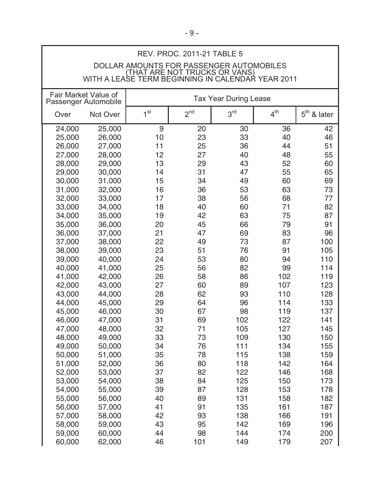| REV. PROC. 2011-21 TABLE 5 |                                                                                                                                |                 |                 |                              |                 |               |
|----------------------------|--------------------------------------------------------------------------------------------------------------------------------|-----------------|-----------------|------------------------------|-----------------|---------------|
|                            |                                                                                                                                |                 |                 |                              |                 |               |
|                            | DOLLAR AMOUNTS FOR PASSENGER AUTOMOBILES<br>(THAT ARE NOT TRUCKS OR VANS)<br>WITH A LEASE TERM BEGINNING IN CALENDAR YEAR 2011 |                 |                 |                              |                 |               |
|                            |                                                                                                                                |                 |                 |                              |                 |               |
|                            | Fair Market Value of                                                                                                           |                 |                 |                              |                 |               |
|                            | Passenger Automobile                                                                                                           |                 |                 | <b>Tax Year During Lease</b> |                 |               |
| Over                       | Not Over                                                                                                                       | 1 <sup>st</sup> | 2 <sup>nd</sup> | 3 <sup>rd</sup>              | 4 <sup>th</sup> | $5th$ & later |
| 24,000                     | 25,000                                                                                                                         | 9               | 20              | 30                           | 36              | 42            |
| 25,000                     | 26,000                                                                                                                         | 10              | 23              | 33                           | 40              | 46            |
| 26,000                     | 27,000                                                                                                                         | 11              | 25              | 36                           | 44              | 51            |
| 27,000                     | 28,000                                                                                                                         | 12              | 27              | 40                           | 48              | 55            |
| 28,000                     | 29,000                                                                                                                         | 13              | 29              | 43                           | 52              | 60            |
| 29,000                     | 30,000                                                                                                                         | 14              | 31              | 47                           | 55              | 65            |
| 30,000                     | 31,000                                                                                                                         | 15              | 34              | 49                           | 60              | 69            |
| 31,000                     | 32,000                                                                                                                         | 16              | 36              | 53                           | 63              | 73            |
| 32,000                     | 33,000                                                                                                                         | 17              | 38              | 56                           | 68              | 77            |
| 33,000                     | 34,000                                                                                                                         | 18              | 40              | 60                           | 71              | 82            |
| 34,000                     | 35,000                                                                                                                         | 19              | 42              | 63                           | 75              | 87            |
| 35,000                     | 36,000                                                                                                                         | 20              | 45              | 66                           | 79              | 91            |
| 36,000                     | 37,000                                                                                                                         | 21              | 47              | 69                           | 83              | 96            |
| 37,000                     | 38,000                                                                                                                         | 22              | 49              | 73                           | 87              | 100           |
| 38,000                     | 39,000                                                                                                                         | 23              | 51              | 76                           | 91              | 105           |
| 39,000                     | 40,000                                                                                                                         | 24              | 53              | 80                           | 94              | 110           |
| 40,000                     | 41,000                                                                                                                         | 25              | 56              | 82                           | 99              | 114           |
| 41,000                     | 42,000                                                                                                                         | 26              | 58              | 86                           | 102             | 119           |
| 42,000                     | 43,000                                                                                                                         | 27              | 60              | 89                           | 107             | 123           |
| 43,000                     | 44,000                                                                                                                         | 28              | 62              | 93                           | 110             | 128           |
| 44,000                     | 45,000                                                                                                                         | 29              | 64              | 96                           | 114             | 133           |
| 45,000                     | 46,000                                                                                                                         | 30              | 67              | 98                           | 119             | 137           |
| 46,000                     | 47,000                                                                                                                         | 31              | 69              | 102                          | 122             | 141           |
| 47,000                     | 48,000                                                                                                                         | 32              | 71              | 105                          | 127             | 145           |
| 48,000                     | 49,000                                                                                                                         | 33              | 73              | 109                          | 130             | 150           |
| 49,000                     | 50,000                                                                                                                         | 34              | 76              | 111                          | 134             | 155           |
| 50,000                     | 51,000                                                                                                                         | 35              | 78              | 115                          | 138             | 159           |
| 51,000                     | 52,000                                                                                                                         | 36              | 80              | 118                          | 142             | 164           |
| 52,000                     | 53,000                                                                                                                         | 37              | 82              | 122                          | 146             | 168           |
| 53,000                     | 54,000                                                                                                                         | 38              | 84              | 125                          | 150             | 173           |
| 54,000                     | 55,000                                                                                                                         | 39              | 87              | 128                          | 153             | 178           |
| 55,000                     | 56,000                                                                                                                         | 40              | 89              | 131                          | 158             | 182           |
| 56,000                     | 57,000                                                                                                                         | 41              | 91              | 135                          | 161             | 187           |
| 57,000                     | 58,000                                                                                                                         | 42              | 93              | 138                          | 166             | 191           |
| 58,000                     | 59,000                                                                                                                         | 43              | 95              | 142                          | 169             | 196           |
| 59,000                     | 60,000                                                                                                                         | 44              | 98              | 144                          | 174             | 200           |
| 60,000                     | 62,000                                                                                                                         | 46              | 101             | 149                          | 179             | 207           |

٦

Г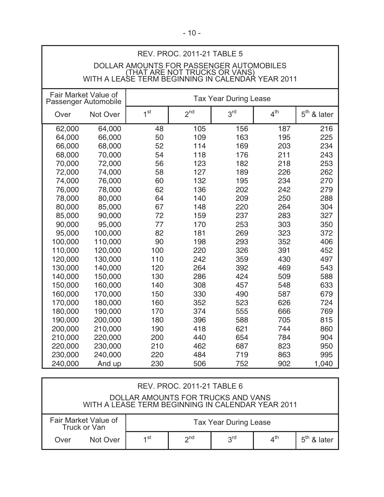| <b>REV. PROC. 2011-21 TABLE 5</b><br>DOLLAR AMOUNTS FOR PASSENGER AUTOMOBILES<br>(THAT ARE NOT TRUCKS OR VANS)<br>WITH A LEASE TERM BEGINNING IN CALENDAR YEAR 2011 |          |                 |                 |                              |                 |               |
|---------------------------------------------------------------------------------------------------------------------------------------------------------------------|----------|-----------------|-----------------|------------------------------|-----------------|---------------|
| Fair Market Value of<br>Passenger Automobile                                                                                                                        |          |                 |                 | <b>Tax Year During Lease</b> |                 |               |
| Over                                                                                                                                                                | Not Over | 1 <sup>st</sup> | 2 <sub>nd</sub> | 3 <sup>rd</sup>              | 4 <sup>th</sup> | $5th$ & later |
| 62,000                                                                                                                                                              | 64,000   | 48              | 105             | 156                          | 187             | 216           |
| 64,000                                                                                                                                                              | 66,000   | 50              | 109             | 163                          | 195             | 225           |
| 66,000                                                                                                                                                              | 68,000   | 52              | 114             | 169                          | 203             | 234           |
| 68,000                                                                                                                                                              | 70,000   | 54              | 118             | 176                          | 211             | 243           |
| 70,000                                                                                                                                                              | 72,000   | 56              | 123             | 182                          | 218             | 253           |
| 72,000                                                                                                                                                              | 74,000   | 58              | 127             | 189                          | 226             | 262           |
| 74,000                                                                                                                                                              | 76,000   | 60              | 132             | 195                          | 234             | 270           |
| 76,000                                                                                                                                                              | 78,000   | 62              | 136             | 202                          | 242             | 279           |
| 78,000                                                                                                                                                              | 80,000   | 64              | 140             | 209                          | 250             | 288           |
| 80,000                                                                                                                                                              | 85,000   | 67              | 148             | 220                          | 264             | 304           |
| 85,000                                                                                                                                                              | 90,000   | 72              | 159             | 237                          | 283             | 327           |
| 90,000                                                                                                                                                              | 95,000   | 77              | 170             | 253                          | 303             | 350           |
| 95,000                                                                                                                                                              | 100,000  | 82              | 181             | 269                          | 323             | 372           |
| 100,000                                                                                                                                                             | 110,000  | 90              | 198             | 293                          | 352             | 406           |
| 110,000                                                                                                                                                             | 120,000  | 100             | 220             | 326                          | 391             | 452           |
| 120,000                                                                                                                                                             | 130,000  | 110             | 242             | 359                          | 430             | 497           |
| 130,000                                                                                                                                                             | 140,000  | 120             | 264             | 392                          | 469             | 543           |
| 140,000                                                                                                                                                             | 150,000  | 130             | 286             | 424                          | 509             | 588           |
| 150,000                                                                                                                                                             | 160,000  | 140             | 308             | 457                          | 548             | 633           |
| 160,000                                                                                                                                                             | 170,000  | 150             | 330             | 490                          | 587             | 679           |
| 170,000                                                                                                                                                             | 180,000  | 160             | 352             | 523                          | 626             | 724           |
| 180,000                                                                                                                                                             | 190,000  | 170             | 374             | 555                          | 666             | 769           |
| 190,000                                                                                                                                                             | 200,000  | 180             | 396             | 588                          | 705             | 815           |
| 200,000                                                                                                                                                             | 210,000  | 190             | 418             | 621                          | 744             | 860           |
| 210,000                                                                                                                                                             | 220,000  | 200             | 440             | 654                          | 784             | 904           |
| 220,000                                                                                                                                                             | 230,000  | 210             | 462             | 687                          | 823             | 950           |
| 230,000                                                                                                                                                             | 240,000  | 220             | 484             | 719                          | 863             | 995           |
| 240,000                                                                                                                                                             | And up   | 230             | 506             | 752                          | 902             | 1,040         |

| REV. PROC. 2011-21 TABLE 6                                                              |                                      |                              |             |            |     |               |
|-----------------------------------------------------------------------------------------|--------------------------------------|------------------------------|-------------|------------|-----|---------------|
| DOLLAR AMOUNTS FOR TRUCKS AND VANS<br>WITH A LEASE TERM BEGINNING IN CALENDAR YEAR 2011 |                                      |                              |             |            |     |               |
|                                                                                         | Fair Market Value of<br>Truck or Van | <b>Tax Year During Lease</b> |             |            |     |               |
| Over                                                                                    | Not Over                             | 4 St                         | $\gamma$ nd | <b>2rd</b> | ⊿th | $5th$ & later |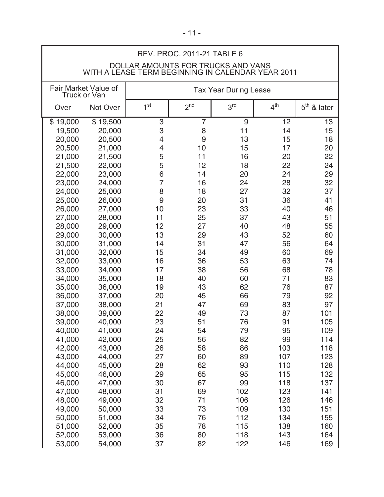| <b>REV. PROC. 2011-21 TABLE 6</b>                                                                                                                                                                                                                                                                                    |                                                                                                                                                                                                                                                                                                                      |                                                                                                                                                                              |                                                                                                                                                                                     |                                                                                                                                                                                       |                                                                                                                                                                                             |                                                                                                                                                                                                 |
|----------------------------------------------------------------------------------------------------------------------------------------------------------------------------------------------------------------------------------------------------------------------------------------------------------------------|----------------------------------------------------------------------------------------------------------------------------------------------------------------------------------------------------------------------------------------------------------------------------------------------------------------------|------------------------------------------------------------------------------------------------------------------------------------------------------------------------------|-------------------------------------------------------------------------------------------------------------------------------------------------------------------------------------|---------------------------------------------------------------------------------------------------------------------------------------------------------------------------------------|---------------------------------------------------------------------------------------------------------------------------------------------------------------------------------------------|-------------------------------------------------------------------------------------------------------------------------------------------------------------------------------------------------|
| DOLLAR AMOUNTS FOR TRUCKS AND VANS<br>WITH A LEASE TERM BEGINNING IN CALENDAR YEAR 2011                                                                                                                                                                                                                              |                                                                                                                                                                                                                                                                                                                      |                                                                                                                                                                              |                                                                                                                                                                                     |                                                                                                                                                                                       |                                                                                                                                                                                             |                                                                                                                                                                                                 |
| Fair Market Value of<br>Truck or Van                                                                                                                                                                                                                                                                                 |                                                                                                                                                                                                                                                                                                                      |                                                                                                                                                                              |                                                                                                                                                                                     | <b>Tax Year During Lease</b>                                                                                                                                                          |                                                                                                                                                                                             |                                                                                                                                                                                                 |
| Over                                                                                                                                                                                                                                                                                                                 | Not Over                                                                                                                                                                                                                                                                                                             | 1 <sup>st</sup>                                                                                                                                                              | 2 <sup>nd</sup>                                                                                                                                                                     | 3 <sup>rd</sup>                                                                                                                                                                       | 4 <sup>th</sup>                                                                                                                                                                             | $5th$ & later                                                                                                                                                                                   |
| \$19,000<br>19,500<br>20,000<br>20,500<br>21,000<br>21,500<br>22,000<br>23,000<br>24,000<br>25,000<br>26,000<br>27,000<br>28,000<br>29,000<br>30,000<br>31,000<br>32,000<br>33,000<br>34,000<br>35,000<br>36,000<br>37,000<br>38,000<br>39,000<br>40,000<br>41,000<br>42,000<br>43,000<br>44,000<br>45,000<br>46,000 | \$19,500<br>20,000<br>20,500<br>21,000<br>21,500<br>22,000<br>23,000<br>24,000<br>25,000<br>26,000<br>27,000<br>28,000<br>29,000<br>30,000<br>31,000<br>32,000<br>33,000<br>34,000<br>35,000<br>36,000<br>37,000<br>38,000<br>39,000<br>40,000<br>41,000<br>42,000<br>43,000<br>44,000<br>45,000<br>46,000<br>47,000 | 3<br>3<br>4<br>4<br>5<br>5<br>6<br>7<br>8<br>9<br>10<br>11<br>12<br>13<br>14<br>15<br>16<br>17<br>18<br>19<br>20<br>21<br>22<br>23<br>24<br>25<br>26<br>27<br>28<br>29<br>30 | 7<br>8<br>9<br>10<br>11<br>12<br>14<br>16<br>18<br>20<br>23<br>25<br>27<br>29<br>31<br>34<br>36<br>38<br>40<br>43<br>45<br>47<br>49<br>51<br>54<br>56<br>58<br>60<br>62<br>65<br>67 | 9<br>11<br>13<br>15<br>16<br>18<br>20<br>24<br>27<br>31<br>33<br>37<br>40<br>43<br>47<br>49<br>53<br>56<br>60<br>62<br>66<br>69<br>73<br>76<br>79<br>82<br>86<br>89<br>93<br>95<br>99 | 12<br>14<br>15<br>17<br>20<br>22<br>24<br>28<br>32<br>36<br>40<br>43<br>48<br>52<br>56<br>60<br>63<br>68<br>71<br>76<br>79<br>83<br>87<br>91<br>95<br>99<br>103<br>107<br>110<br>115<br>118 | 13<br>15<br>18<br>20<br>22<br>24<br>29<br>32<br>37<br>41<br>46<br>51<br>55<br>60<br>64<br>69<br>74<br>78<br>83<br>87<br>92<br>97<br>101<br>105<br>109<br>114<br>118<br>123<br>128<br>132<br>137 |
| 47,000<br>48,000<br>49,000                                                                                                                                                                                                                                                                                           | 48,000<br>49,000<br>50,000                                                                                                                                                                                                                                                                                           | 31<br>32<br>33                                                                                                                                                               | 69<br>71<br>73                                                                                                                                                                      | 102<br>106<br>109                                                                                                                                                                     | 123<br>126<br>130                                                                                                                                                                           | 141<br>146<br>151                                                                                                                                                                               |
| 50,000<br>51,000<br>52,000<br>53,000                                                                                                                                                                                                                                                                                 | 51,000<br>52,000<br>53,000<br>54,000                                                                                                                                                                                                                                                                                 | 34<br>35<br>36<br>37                                                                                                                                                         | 76<br>78<br>80<br>82                                                                                                                                                                | 112<br>115<br>118<br>122                                                                                                                                                              | 134<br>138<br>143<br>146                                                                                                                                                                    | 155<br>160<br>164<br>169                                                                                                                                                                        |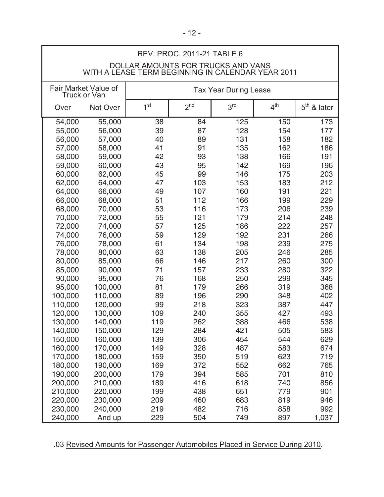| <b>REV. PROC. 2011-21 TABLE 6</b> |                                                                                         |                 |                 |                              |                 |               |
|-----------------------------------|-----------------------------------------------------------------------------------------|-----------------|-----------------|------------------------------|-----------------|---------------|
|                                   | DOLLAR AMOUNTS FOR TRUCKS AND VANS<br>WITH A LEASE TERM BEGINNING IN CALENDAR YEAR 2011 |                 |                 |                              |                 |               |
| Truck or Van                      | Fair Market Value of                                                                    |                 |                 | <b>Tax Year During Lease</b> |                 |               |
| Over                              | Not Over                                                                                | 1 <sup>st</sup> | 2 <sup>nd</sup> | 3 <sup>rd</sup>              | 4 <sup>th</sup> | $5th$ & later |
| 54,000                            | 55,000                                                                                  | 38              | 84              | 125                          | 150             | 173           |
| 55,000                            | 56,000                                                                                  | 39              | 87              | 128                          | 154             | 177           |
| 56,000                            | 57,000                                                                                  | 40              | 89              | 131                          | 158             | 182           |
| 57,000                            | 58,000                                                                                  | 41              | 91              | 135                          | 162             | 186           |
| 58,000                            | 59,000                                                                                  | 42              | 93              | 138                          | 166             | 191           |
| 59,000                            | 60,000                                                                                  | 43              | 95              | 142                          | 169             | 196           |
| 60,000                            | 62,000                                                                                  | 45              | 99              | 146                          | 175             | 203           |
| 62,000                            | 64,000                                                                                  | 47              | 103             | 153                          | 183             | 212           |
| 64,000                            | 66,000                                                                                  | 49              | 107             | 160                          | 191             | 221           |
| 66,000                            | 68,000                                                                                  | 51              | 112             | 166                          | 199             | 229           |
| 68,000                            | 70,000                                                                                  | 53              | 116             | 173                          | 206             | 239           |
| 70,000                            | 72,000                                                                                  | 55              | 121             | 179                          | 214             | 248           |
| 72,000                            | 74,000                                                                                  | 57              | 125             | 186                          | 222             | 257           |
| 74,000                            | 76,000                                                                                  | 59              | 129             | 192                          | 231             | 266           |
| 76,000                            | 78,000                                                                                  | 61              | 134             | 198                          | 239             | 275           |
| 78,000                            | 80,000                                                                                  | 63              | 138             | 205                          | 246             | 285           |
| 80,000                            | 85,000                                                                                  | 66              | 146             | 217                          | 260             | 300           |
| 85,000                            | 90,000                                                                                  | 71              | 157             | 233                          | 280             | 322           |
| 90,000                            | 95,000                                                                                  | 76              | 168             | 250                          | 299             | 345           |
| 95,000                            | 100,000                                                                                 | 81              | 179             | 266                          | 319             | 368           |
| 100,000                           | 110,000                                                                                 | 89              | 196             | 290                          | 348             | 402           |
| 110,000                           | 120,000                                                                                 | 99              | 218             | 323                          | 387             | 447           |
| 120,000                           | 130,000                                                                                 | 109             | 240             | 355                          | 427             | 493           |
| 130,000                           | 140,000                                                                                 | 119             | 262             | 388                          | 466             | 538           |
| 140,000                           | 150,000                                                                                 | 129             | 284             | 421                          | 505             | 583           |
| 150,000                           | 160,000                                                                                 | 139             | 306             | 454                          | 544             | 629           |
| 160,000                           | 170,000                                                                                 | 149             | 328             | 487                          | 583             | 674           |
| 170,000                           | 180,000                                                                                 | 159             | 350             | 519                          | 623             | 719           |
| 180,000                           | 190,000                                                                                 | 169             | 372             | 552                          | 662             | 765           |
| 190,000                           | 200,000                                                                                 | 179             | 394             | 585                          | 701             | 810           |
| 200,000                           | 210,000                                                                                 | 189             | 416             | 618                          | 740             | 856           |
| 210,000                           | 220,000                                                                                 | 199             | 438             | 651                          | 779             | 901           |
| 220,000                           | 230,000                                                                                 | 209             | 460             | 683                          | 819             | 946           |
| 230,000                           | 240,000                                                                                 | 219             | 482             | 716                          | 858             | 992           |
| 240,000                           | And up                                                                                  | 229             | 504             | 749                          | 897             | 1,037         |

.03 Revised Amounts for Passenger Automobiles Placed in Service During 2010.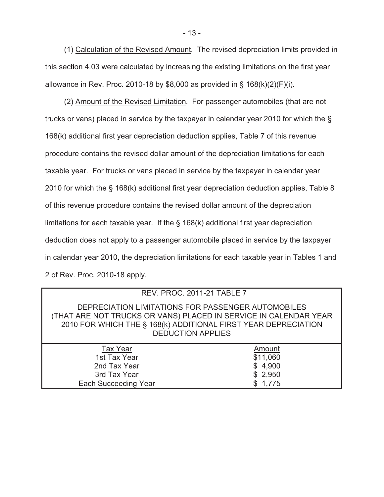(1) Calculation of the Revised Amount. The revised depreciation limits provided in this section 4.03 were calculated by increasing the existing limitations on the first year allowance in Rev. Proc. 2010-18 by \$8,000 as provided in § 168(k)(2)(F)(i).

 (2) Amount of the Revised Limitation. For passenger automobiles (that are not trucks or vans) placed in service by the taxpayer in calendar year 2010 for which the § 168(k) additional first year depreciation deduction applies, Table 7 of this revenue procedure contains the revised dollar amount of the depreciation limitations for each taxable year. For trucks or vans placed in service by the taxpayer in calendar year 2010 for which the § 168(k) additional first year depreciation deduction applies, Table 8 of this revenue procedure contains the revised dollar amount of the depreciation limitations for each taxable year. If the § 168(k) additional first year depreciation deduction does not apply to a passenger automobile placed in service by the taxpayer in calendar year 2010, the depreciation limitations for each taxable year in Tables 1 and 2 of Rev. Proc. 2010-18 apply.

| <b>REV. PROC. 2011-21 TABLE 7</b>                                                                                                                                                                                    |          |  |  |  |
|----------------------------------------------------------------------------------------------------------------------------------------------------------------------------------------------------------------------|----------|--|--|--|
| DEPRECIATION LIMITATIONS FOR PASSENGER AUTOMOBILES<br>(THAT ARE NOT TRUCKS OR VANS) PLACED IN SERVICE IN CALENDAR YEAR<br>2010 FOR WHICH THE § 168(k) ADDITIONAL FIRST YEAR DEPRECIATION<br><b>DEDUCTION APPLIES</b> |          |  |  |  |
| <b>Tax Year</b>                                                                                                                                                                                                      | Amount   |  |  |  |
| 1st Tax Year                                                                                                                                                                                                         | \$11,060 |  |  |  |
| 2nd Tax Year                                                                                                                                                                                                         | \$4,900  |  |  |  |
| 3rd Tax Year                                                                                                                                                                                                         | \$2,950  |  |  |  |
| <b>Each Succeeding Year</b>                                                                                                                                                                                          | \$1,775  |  |  |  |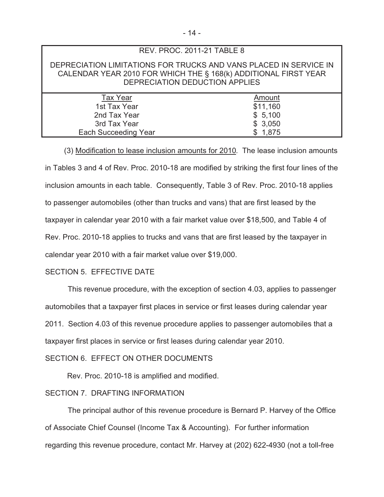|  |  |  | REV. PROC. 2011-21 TABLE 8 |
|--|--|--|----------------------------|
|--|--|--|----------------------------|

DEPRECIATION LIMITATIONS FOR TRUCKS AND VANS PLACED IN SERVICE IN CALENDAR YEAR 2010 FOR WHICH THE § 168(k) ADDITIONAL FIRST YEAR DEPRECIATION DEDUCTION APPLIES

| <b>Tax Year</b>             | Amount   |
|-----------------------------|----------|
| 1st Tax Year                | \$11,160 |
| 2nd Tax Year                | \$5,100  |
| 3rd Tax Year                | \$3,050  |
| <b>Each Succeeding Year</b> | \$1,875  |
|                             |          |

 (3) Modification to lease inclusion amounts for 2010. The lease inclusion amounts in Tables 3 and 4 of Rev. Proc. 2010-18 are modified by striking the first four lines of the inclusion amounts in each table. Consequently, Table 3 of Rev. Proc. 2010-18 applies to passenger automobiles (other than trucks and vans) that are first leased by the taxpayer in calendar year 2010 with a fair market value over \$18,500, and Table 4 of Rev. Proc. 2010-18 applies to trucks and vans that are first leased by the taxpayer in calendar year 2010 with a fair market value over \$19,000.

## SECTION 5. EFFECTIVE DATE

This revenue procedure, with the exception of section 4.03, applies to passenger automobiles that a taxpayer first places in service or first leases during calendar year 2011. Section 4.03 of this revenue procedure applies to passenger automobiles that a taxpayer first places in service or first leases during calendar year 2010.

### SECTION 6. EFFECT ON OTHER DOCUMENTS

Rev. Proc. 2010-18 is amplified and modified.

### SECTION 7. DRAFTING INFORMATION

The principal author of this revenue procedure is Bernard P. Harvey of the Office of Associate Chief Counsel (Income Tax & Accounting). For further information regarding this revenue procedure, contact Mr. Harvey at (202) 622-4930 (not a toll-free